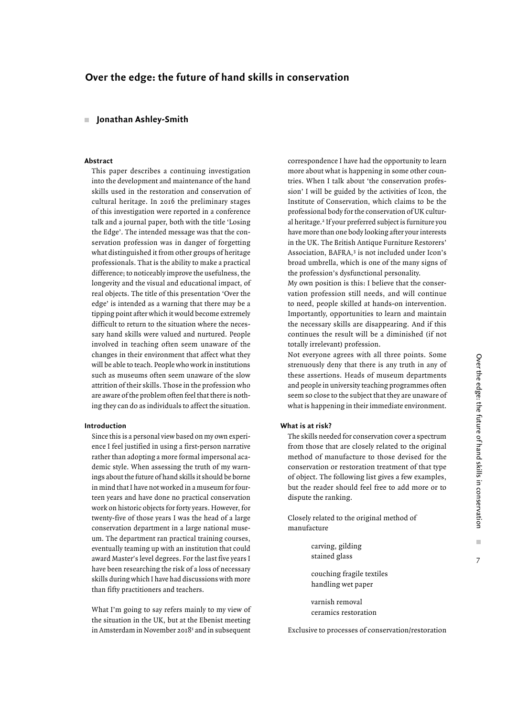# **Over the edge: the future of hand skills in conservation**

## **Jonathan Ashley-Smith**

## **Abstract**

This paper describes a continuing investigation into the development and maintenance of the hand skills used in the restoration and conservation of cultural heritage. In 2016 the preliminary stages of this investigation were reported in a conference talk and a journal paper, both with the title 'Losing the Edge'. The intended message was that the conservation profession was in danger of forgetting what distinguished it from other groups of heritage professionals. That is the ability to make a practical difference; to noticeably improve the usefulness, the longevity and the visual and educational impact, of real objects. The title of this presentation 'Over the edge' is intended as a warning that there may be a tipping point after which it would become extremely difficult to return to the situation where the necessary hand skills were valued and nurtured. People involved in teaching often seem unaware of the changes in their environment that affect what they will be able to teach. People who work in institutions such as museums often seem unaware of the slow attrition of their skills. Those in the profession who are aware of the problem often feel that there is nothing they can do as individuals to affect the situation.

## **Introduction**

Since this is a personal view based on my own experience I feel justified in using a first-person narrative rather than adopting a more formal impersonal academic style. When assessing the truth of my warnings about the future of hand skills it should be borne in mind that I have not worked in a museum for fourteen years and have done no practical conservation work on historic objects for forty years. However, for twenty-five of those years I was the head of a large conservation department in a large national museum. The department ran practical training courses, eventually teaming up with an institution that could award Master's level degrees. For the last five years I have been researching the risk of a loss of necessary skills during which I have had discussions with more than fifty practitioners and teachers.

What I'm going to say refers mainly to my view of the situation in the UK, but at the Ebenist meeting in Amsterdam in November 2018<sup>1</sup> and in subsequent

correspondence I have had the opportunity to learn more about what is happening in some other countries. When I talk about 'the conservation profession' I will be guided by the activities of Icon, the Institute of Conservation, which claims to be the professional body for the conservation of UK cultural heritage.<sup>2</sup> If your preferred subject is furniture you have more than one body looking after your interests in the UK. The British Antique Furniture Restorers' Association, BAFRA,<sup>3</sup> is not included under Icon's broad umbrella, which is one of the many signs of the profession's dysfunctional personality.

My own position is this: I believe that the conservation profession still needs, and will continue to need, people skilled at hands-on intervention. Importantly, opportunities to learn and maintain the necessary skills are disappearing. And if this continues the result will be a diminished (if not totally irrelevant) profession.

Not everyone agrees with all three points. Some strenuously deny that there is any truth in any of these assertions. Heads of museum departments and people in university teaching programmes often seem so close to the subject that they are unaware of what is happening in their immediate environment.

## **What is at risk?**

The skills needed for conservation cover a spectrum from those that are closely related to the original method of manufacture to those devised for the conservation or restoration treatment of that type of object. The following list gives a few examples, but the reader should feel free to add more or to dispute the ranking.

Closely related to the original method of manufacture

| carving, gilding<br>stained glass               |
|-------------------------------------------------|
| couching fragile textiles<br>handling wet paper |

varnish removal ceramics restoration

Exclusive to processes of conservation/restoration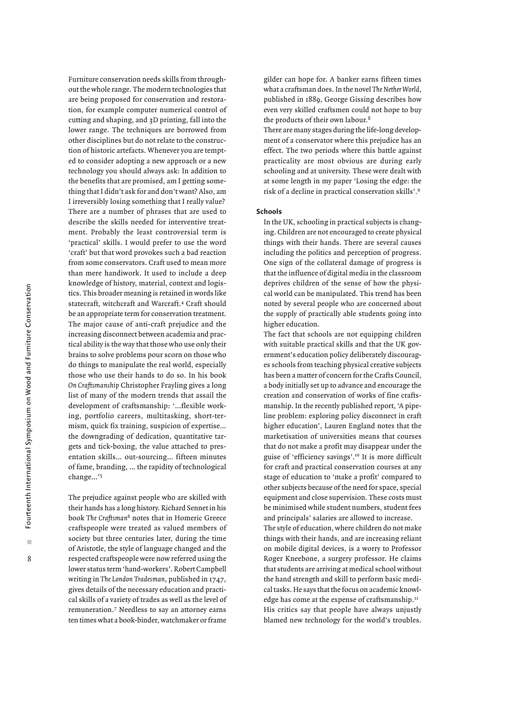Furniture conservation needs skills from throughout the whole range. The modern technologies that are being proposed for conservation and restoration, for example computer numerical control of cutting and shaping, and 3D printing, fall into the lower range. The techniques are borrowed from other disciplines but do not relate to the construction of historic artefacts. Whenever you are tempted to consider adopting a new approach or a new technology you should always ask: In addition to the benefits that are promised, am I getting something that I didn't ask for and don't want? Also, am I irreversibly losing something that I really value? There are a number of phrases that are used to describe the skills needed for interventive treatment. Probably the least controversial term is 'practical' skills. I would prefer to use the word 'craft' but that word provokes such a bad reaction from some conservators. Craft used to mean more than mere handiwork. It used to include a deep knowledge of history, material, context and logistics. This broader meaning is retained in words like statecraft, witchcraft and Warcraft.4 Craft should be an appropriate term for conservation treatment. The major cause of anti-craft prejudice and the increasing disconnect between academia and practical ability is the way that those who use only their brains to solve problems pour scorn on those who do things to manipulate the real world, especially those who use their hands to do so. In his book *On Craftsmanship* Christopher Frayling gives a long list of many of the modern trends that assail the development of craftsmanship: '…flexible working, portfolio careers, multitasking, short-termism, quick fix training, suspicion of expertise… the downgrading of dedication, quantitative targets and tick-boxing, the value attached to presentation skills… out-sourcing… fifteen minutes of fame, branding, … the rapidity of technological change…'5

The prejudice against people who are skilled with their hands has a long history. Richard Sennet in his book *The Craftsman*6 notes that in Homeric Greece craftspeople were treated as valued members of society but three centuries later, during the time of Aristotle, the style of language changed and the respected craftspeople were now referred using the lower status term 'hand-workers'. Robert Campbell writing in *The London Tradesman*, published in 1747, gives details of the necessary education and practical skills of a variety of trades as well as the level of remuneration.7 Needless to say an attorney earns ten times what a book-binder, watchmaker or frame gilder can hope for. A banker earns fifteen times what a craftsman does. In the novel *The Nether World*, published in 1889, George Gissing describes how even very skilled craftsmen could not hope to buy the products of their own labour.<sup>8</sup>

There are many stages during the life-long development of a conservator where this prejudice has an effect. The two periods where this battle against practicality are most obvious are during early schooling and at university. These were dealt with at some length in my paper 'Losing the edge: the risk of a decline in practical conservation skills'.9

#### **Schools**

In the UK, schooling in practical subjects is changing. Children are not encouraged to create physical things with their hands. There are several causes including the politics and perception of progress. One sign of the collateral damage of progress is that the influence of digital media in the classroom deprives children of the sense of how the physical world can be manipulated. This trend has been noted by several people who are concerned about the supply of practically able students going into higher education.

The fact that schools are not equipping children with suitable practical skills and that the UK government's education policy deliberately discourages schools from teaching physical creative subjects has been a matter of concern for the Crafts Council, a body initially set up to advance and encourage the creation and conservation of works of fine craftsmanship. In the recently published report, 'A pipeline problem: exploring policy disconnect in craft higher education', Lauren England notes that the marketisation of universities means that courses that do not make a profit may disappear under the guise of 'efficiency savings'.10 It is more difficult for craft and practical conservation courses at any stage of education to 'make a profit' compared to other subjects because of the need for space, special equipment and close supervision. These costs must be minimised while student numbers, student fees and principals' salaries are allowed to increase.

The style of education, where children do not make things with their hands, and are increasing reliant on mobile digital devices, is a worry to Professor Roger Kneebone, a surgery professor. He claims that students are arriving at medical school without the hand strength and skill to perform basic medical tasks. He says that the focus on academic knowledge has come at the expense of craftsmanship.<sup>11</sup> His critics say that people have always unjustly blamed new technology for the world's troubles.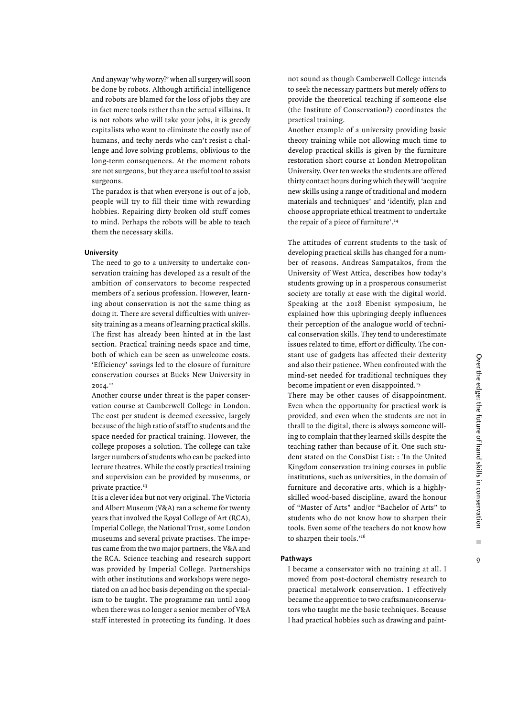And anyway 'why worry?' when all surgery will soon be done by robots. Although artificial intelligence and robots are blamed for the loss of jobs they are in fact mere tools rather than the actual villains. It is not robots who will take your jobs, it is greedy capitalists who want to eliminate the costly use of humans, and techy nerds who can't resist a challenge and love solving problems, oblivious to the long-term consequences. At the moment robots are not surgeons, but they are a useful tool to assist surgeons.

The paradox is that when everyone is out of a job, people will try to fill their time with rewarding hobbies. Repairing dirty broken old stuff comes to mind. Perhaps the robots will be able to teach them the necessary skills.

#### **University**

The need to go to a university to undertake conservation training has developed as a result of the ambition of conservators to become respected members of a serious profession. However, learning about conservation is not the same thing as doing it. There are several difficulties with university training as a means of learning practical skills. The first has already been hinted at in the last section. Practical training needs space and time, both of which can be seen as unwelcome costs. 'Efficiency' savings led to the closure of furniture conservation courses at Bucks New University in 2014.12

Another course under threat is the paper conservation course at Camberwell College in London. The cost per student is deemed excessive, largely because of the high ratio of staff to students and the space needed for practical training. However, the college proposes a solution. The college can take larger numbers of students who can be packed into lecture theatres. While the costly practical training and supervision can be provided by museums, or private practice.<sup>13</sup>

It is a clever idea but not very original. The Victoria and Albert Museum (V&A) ran a scheme for twenty years that involved the Royal College of Art (RCA), Imperial College, the National Trust, some London museums and several private practises. The impetus came from the two major partners, the V&A and the RCA. Science teaching and research support was provided by Imperial College. Partnerships with other institutions and workshops were negotiated on an ad hoc basis depending on the specialism to be taught. The programme ran until 2009 when there was no longer a senior member of V&A staff interested in protecting its funding. It does

not sound as though Camberwell College intends to seek the necessary partners but merely offers to provide the theoretical teaching if someone else (the Institute of Conservation?) coordinates the practical training.

Another example of a university providing basic theory training while not allowing much time to develop practical skills is given by the furniture restoration short course at London Metropolitan University. Over ten weeks the students are offered thirty contact hours during which they will 'acquire new skills using a range of traditional and modern materials and techniques' and 'identify, plan and choose appropriate ethical treatment to undertake the repair of a piece of furniture'.<sup>14</sup>

The attitudes of current students to the task of developing practical skills has changed for a number of reasons. Andreas Sampatakos, from the University of West Attica, describes how today's students growing up in a prosperous consumerist society are totally at ease with the digital world. Speaking at the 2018 Ebenist symposium, he explained how this upbringing deeply influences their perception of the analogue world of technical conservation skills. They tend to underestimate issues related to time, effort or difficulty. The constant use of gadgets has affected their dexterity and also their patience. When confronted with the mind-set needed for traditional techniques they become impatient or even disappointed.<sup>15</sup>

There may be other causes of disappointment. Even when the opportunity for practical work is provided, and even when the students are not in thrall to the digital, there is always someone willing to complain that they learned skills despite the teaching rather than because of it. One such student stated on the ConsDist List: : 'In the United Kingdom conservation training courses in public institutions, such as universities, in the domain of furniture and decorative arts, which is a highlyskilled wood-based discipline, award the honour of "Master of Arts" and/or "Bachelor of Arts" to students who do not know how to sharpen their tools. Even some of the teachers do not know how to sharpen their tools.'<sup>16</sup>

#### **Pathways**

I became a conservator with no training at all. I moved from post-doctoral chemistry research to practical metalwork conservation. I effectively became the apprentice to two craftsman/conservators who taught me the basic techniques. Because I had practical hobbies such as drawing and paint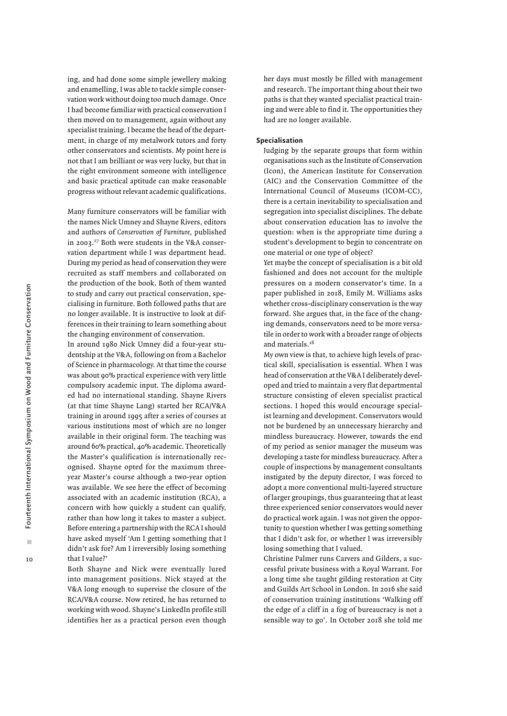ing, and had done some simple jewellery making and enamelling, I was able to tackle simple conservation work without doing too much damage. Once I had become familiar with practical conservation I then moved on to management, again without any specialist training. I became the head of the department, in charge of my metalwork tutors and forty other conservators and scientists. My point here is not that I am brilliant or was very lucky, but that in the right environment someone with intelligence and basic practical aptitude can make reasonable progress without relevant academic qualifications.

Many furniture conservators will be familiar with the names Nick Umney and Shayne Rivers, editors and authors of *Conservation of Furniture*, published in 2003.17 Both were students in the V&A conservation department while I was department head. During my period as head of conservation they were recruited as staff members and collaborated on the production of the book. Both of them wanted to study and carry out practical conservation, specialising in furniture. Both followed paths that are no longer available. It is instructive to look at differences in their training to learn something about the changing environment of conservation.

In around 1980 Nick Umney did a four-year studentship at the V&A, following on from a Bachelor of Science in pharmacology. At that time the course was about 90% practical experience with very little compulsory academic input. The diploma awarded had no international standing. Shayne Rivers (at that time Shayne Lang) started her RCA/V&A training in around 1995 after a series of courses at various institutions most of which are no longer available in their original form. The teaching was around 60% practical, 40% academic. Theoretically the Master's qualification is internationally recognised. Shayne opted for the maximum threeyear Master's course although a two-year option was available. We see here the effect of becoming associated with an academic institution (RCA), a concern with how quickly a student can qualify, rather than how long it takes to master a subject. Before entering a partnership with the RCA I should have asked myself 'Am I getting something that I didn't ask for? Am I irreversibly losing something that I value?'

Both Shayne and Nick were eventually lured into management positions. Nick stayed at the V&A long enough to supervise the closure of the RCA/V&A course. Now retired, he has returned to working with wood. Shayne's LinkedIn profile still identifies her as a practical person even though

her days must mostly be filled with management and research. The important thing about their two paths is that they wanted specialist practical training and were able to find it. The opportunities they had are no longer available.

#### **Specialisation**

Judging by the separate groups that form within organisations such as the Institute of Conservation (Icon), the American Institute for Conservation (AIC) and the Conservation Committee of the International Council of Museums (ICOM-CC), there is a certain inevitability to specialisation and segregation into specialist disciplines. The debate about conservation education has to involve the question: when is the appropriate time during a student's development to begin to concentrate on one material or one type of object?

Yet maybe the concept of specialisation is a bit old fashioned and does not account for the multiple pressures on a modern conservator's time. In a paper published in 2018, Emily M. Williams asks whether cross-disciplinary conservation is the way forward. She argues that, in the face of the changing demands, conservators need to be more versatile in order to work with a broader range of objects and materials.18

My own view is that, to achieve high levels of practical skill, specialisation is essential. When I was head of conservation at the V&A I deliberately developed and tried to maintain a very flat departmental structure consisting of eleven specialist practical sections. I hoped this would encourage specialist learning and development. Conservators would not be burdened by an unnecessary hierarchy and mindless bureaucracy. However, towards the end of my period as senior manager the museum was developing a taste for mindless bureaucracy. After a couple of inspections by management consultants instigated by the deputy director, I was forced to adopt a more conventional multi-layered structure of larger groupings, thus guaranteeing that at least three experienced senior conservators would never do practical work again. I was not given the opportunity to question whether I was getting something that I didn't ask for, or whether I was irreversibly losing something that I valued.

Christine Palmer runs Carvers and Gilders, a successful private business with a Royal Warrant. For a long time she taught gilding restoration at City and Guilds Art School in London. In 2016 she said of conservation training institutions 'Walking off the edge of a cliff in a fog of bureaucracy is not a sensible way to go'. In October 2018 she told me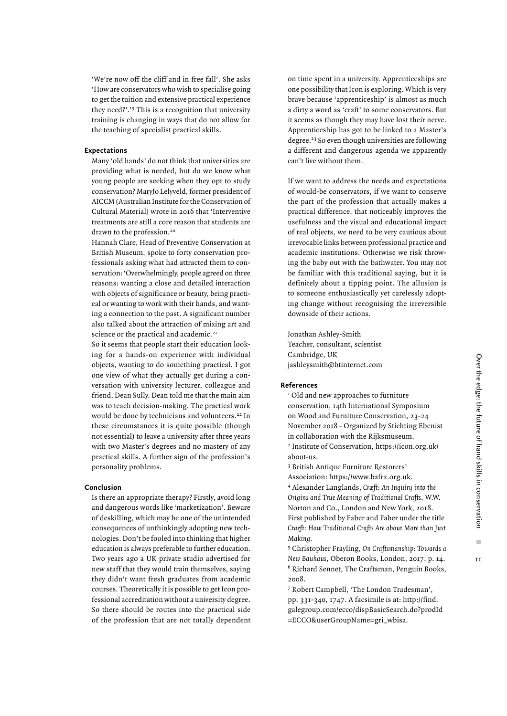'We're now off the cliff and in free fall'. She asks 'How are conservators who wish to specialise going to get the tuition and extensive practical experience they need?'.19 This is a recognition that university training is changing in ways that do not allow for the teaching of specialist practical skills.

#### **Expectations**

Many 'old hands' do not think that universities are providing what is needed, but do we know what young people are seeking when they opt to study conservation? MaryJo Lelyveld, former president of AICCM (Australian Institute for the Conservation of Cultural Material) wrote in 2016 that 'Interventive treatments are still a core reason that students are drawn to the profession.<sup>20</sup>

Hannah Clare, Head of Preventive Conservation at British Museum, spoke to forty conservation professionals asking what had attracted them to conservation: 'Overwhelmingly, people agreed on three reasons: wanting a close and detailed interaction with objects of significance or beauty, being practical or wanting to work with their hands, and wanting a connection to the past. A significant number also talked about the attraction of mixing art and science or the practical and academic.<sup>21</sup>

So it seems that people start their education looking for a hands-on experience with individual objects, wanting to do something practical. I got one view of what they actually get during a conversation with university lecturer, colleague and friend, Dean Sully. Dean told me that the main aim was to teach decision-making. The practical work would be done by technicians and volunteers.<sup>22</sup> In these circumstances it is quite possible (though not essential) to leave a university after three years with two Master's degrees and no mastery of any practical skills. A further sign of the profession's personality problems.

#### **Conclusion**

Is there an appropriate therapy? Firstly, avoid long and dangerous words like 'marketization'. Beware of deskilling, which may be one of the unintended consequences of unthinkingly adopting new technologies. Don't be fooled into thinking that higher education is always preferable to further education. Two years ago a UK private studio advertised for new staff that they would train themselves, saying they didn't want fresh graduates from academic courses. Theoretically it is possible to get Icon professional accreditation without a university degree. So there should be routes into the practical side of the profession that are not totally dependent on time spent in a university. Apprenticeships are one possibility that Icon is exploring. Which is very brave because 'apprenticeship' is almost as much a dirty a word as 'craft' to some conservators. But it seems as though they may have lost their nerve. Apprenticeship has got to be linked to a Master's degree.23 So even though universities are following a different and dangerous agenda we apparently can't live without them.

If we want to address the needs and expectations of would-be conservators, if we want to conserve the part of the profession that actually makes a practical difference, that noticeably improves the usefulness and the visual and educational impact of real objects, we need to be very cautious about irrevocable links between professional practice and academic institutions. Otherwise we risk throwing the baby out with the bathwater. You may not be familiar with this traditional saying, but it is definitely about a tipping point. The allusion is to someone enthusiastically yet carelessly adopting change without recognising the irreversible downside of their actions.

Jonathan Ashley-Smith Teacher, consultant, scientist Cambridge, UK jashleysmith@btinternet.com

### **References**

<sup>1</sup> Old and new approaches to furniture conservation, 14th International Symposium on Wood and Furniture Conservation, 23-24 November 2018 - Organized by Stichting Ebenist in collaboration with the Rijksmuseum. 2 Institute of Conservation, https://icon.org.uk/ about-us.

3 British Antique Furniture Restorers'

Association: https://www.bafra.org.uk. 4 Alexander Langlands, *Cræft: An Inquiry into the Origins and True Meaning of Traditional Crafts*, W.W. Norton and Co., London and New York, 2018. First published by Faber and Faber under the title *Craeft: How Traditional Crafts Are about More than Just Making.*

5 Christopher Frayling, *On Craftsmanship: Towards a New Bauhaus*, Oberon Books, London, 2017, p. 14. 6 Richard Sennet, The Craftsman, Penguin Books, 2008.

7 Robert Campbell, 'The London Tradesman', pp. 331-340, 1747. A facsimile is at: http://find. galegroup.com/ecco/dispBasicSearch.do?prodId =ECCO&userGroupName=gri\_wbisa.